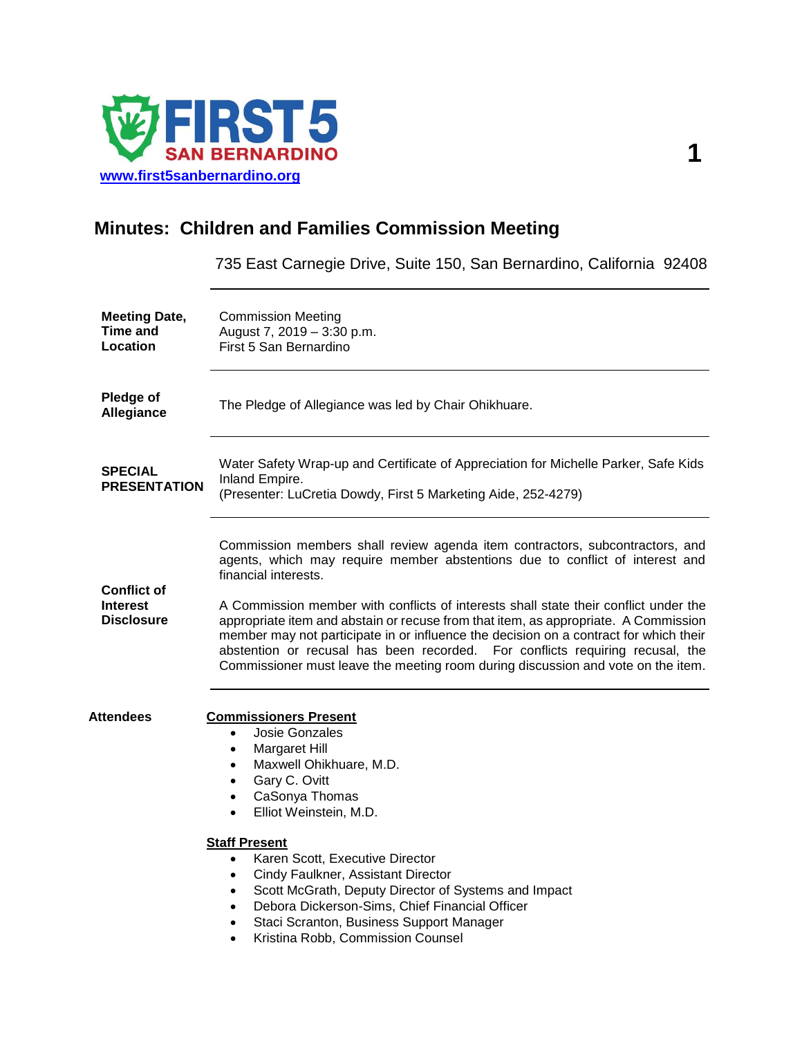

## **Minutes: Children and Families Commission Meeting**

735 East Carnegie Drive, Suite 150, San Bernardino, California 92408

| <b>Meeting Date,</b><br><b>Time and</b><br><b>Location</b> | <b>Commission Meeting</b><br>August 7, 2019 - 3:30 p.m.<br>First 5 San Bernardino                                                                                                                                                                                                                                                                                                                                                                                                                                                                                                                                                 |
|------------------------------------------------------------|-----------------------------------------------------------------------------------------------------------------------------------------------------------------------------------------------------------------------------------------------------------------------------------------------------------------------------------------------------------------------------------------------------------------------------------------------------------------------------------------------------------------------------------------------------------------------------------------------------------------------------------|
| Pledge of<br>Allegiance                                    | The Pledge of Allegiance was led by Chair Ohikhuare.                                                                                                                                                                                                                                                                                                                                                                                                                                                                                                                                                                              |
| <b>SPECIAL</b><br><b>PRESENTATION</b>                      | Water Safety Wrap-up and Certificate of Appreciation for Michelle Parker, Safe Kids<br>Inland Empire.<br>(Presenter: LuCretia Dowdy, First 5 Marketing Aide, 252-4279)                                                                                                                                                                                                                                                                                                                                                                                                                                                            |
| <b>Conflict of</b><br><b>Interest</b><br><b>Disclosure</b> | Commission members shall review agenda item contractors, subcontractors, and<br>agents, which may require member abstentions due to conflict of interest and<br>financial interests.<br>A Commission member with conflicts of interests shall state their conflict under the<br>appropriate item and abstain or recuse from that item, as appropriate. A Commission<br>member may not participate in or influence the decision on a contract for which their<br>abstention or recusal has been recorded. For conflicts requiring recusal, the<br>Commissioner must leave the meeting room during discussion and vote on the item. |
| Attendees                                                  | <b>Commissioners Present</b><br><b>Josie Gonzales</b><br>$\bullet$<br>Margaret Hill<br>$\bullet$<br>Maxwell Ohikhuare, M.D.<br>$\bullet$<br>Gary C. Ovitt<br>$\bullet$<br>CaSonya Thomas<br>$\bullet$<br>Elliot Weinstein, M.D.<br>$\bullet$<br><b>Staff Present</b><br>Karen Scott, Executive Director<br>$\bullet$<br>Cindy Faulkner, Assistant Director<br>$\bullet$<br>Scott McGrath, Deputy Director of Systems and Impact<br>$\bullet$<br>Debora Dickerson-Sims, Chief Financial Officer<br>$\bullet$<br>Staci Scranton, Business Support Manager<br>$\bullet$<br>Kristina Robb, Commission Counsel<br>$\bullet$            |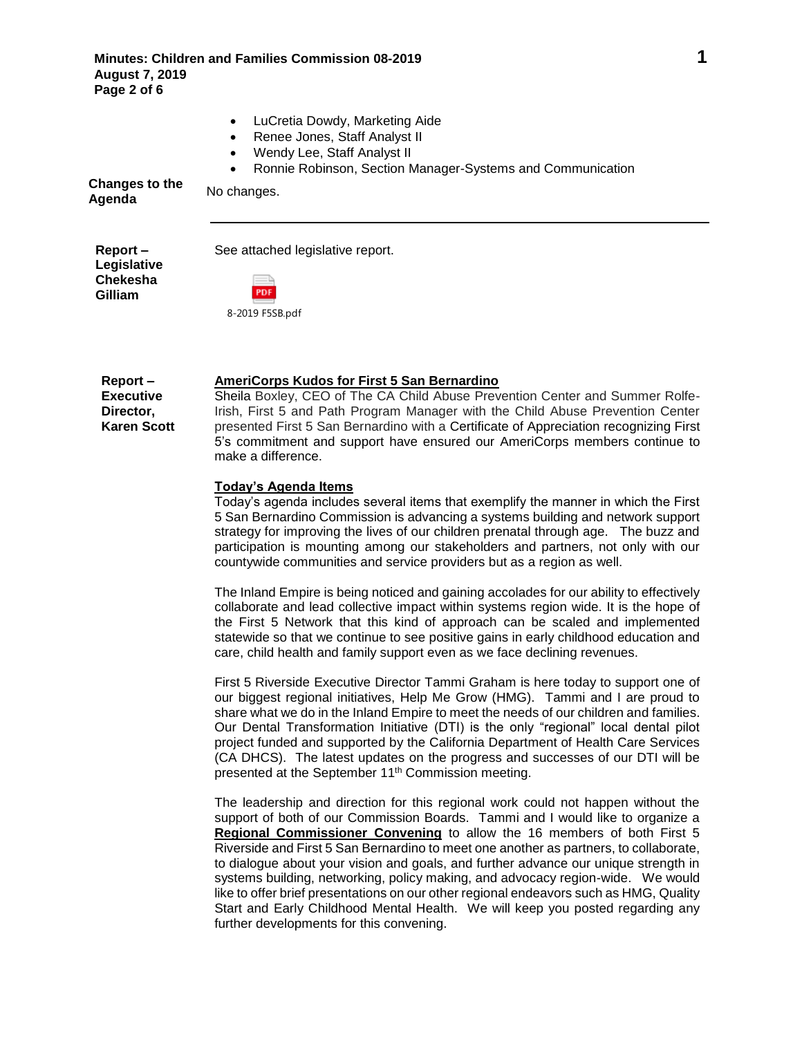- LuCretia Dowdy, Marketing Aide
- Renee Jones, Staff Analyst II
- Wendy Lee, Staff Analyst II
- Ronnie Robinson, Section Manager-Systems and Communication

**Changes to the Agenda** No changes.

**Report – Legislative Chekesha Gilliam**

See attached legislative report.



8-2019 F5SB.pdf

**Report – Executive Director, Karen Scott**

## **AmeriCorps Kudos for First 5 San Bernardino**

Sheila Boxley, CEO of The CA Child Abuse Prevention Center and Summer Rolfe-Irish, First 5 and Path Program Manager with the Child Abuse Prevention Center presented First 5 San Bernardino with a Certificate of Appreciation recognizing First 5's commitment and support have ensured our AmeriCorps members continue to make a difference.

## **Today's Agenda Items**

Today's agenda includes several items that exemplify the manner in which the First 5 San Bernardino Commission is advancing a systems building and network support strategy for improving the lives of our children prenatal through age. The buzz and participation is mounting among our stakeholders and partners, not only with our countywide communities and service providers but as a region as well.

The Inland Empire is being noticed and gaining accolades for our ability to effectively collaborate and lead collective impact within systems region wide. It is the hope of the First 5 Network that this kind of approach can be scaled and implemented statewide so that we continue to see positive gains in early childhood education and care, child health and family support even as we face declining revenues.

First 5 Riverside Executive Director Tammi Graham is here today to support one of our biggest regional initiatives, Help Me Grow (HMG). Tammi and I are proud to share what we do in the Inland Empire to meet the needs of our children and families. Our Dental Transformation Initiative (DTI) is the only "regional" local dental pilot project funded and supported by the California Department of Health Care Services (CA DHCS). The latest updates on the progress and successes of our DTI will be presented at the September 11th Commission meeting.

The leadership and direction for this regional work could not happen without the support of both of our Commission Boards. Tammi and I would like to organize a **Regional Commissioner Convening** to allow the 16 members of both First 5 Riverside and First 5 San Bernardino to meet one another as partners, to collaborate, to dialogue about your vision and goals, and further advance our unique strength in systems building, networking, policy making, and advocacy region-wide. We would like to offer brief presentations on our other regional endeavors such as HMG, Quality Start and Early Childhood Mental Health. We will keep you posted regarding any further developments for this convening.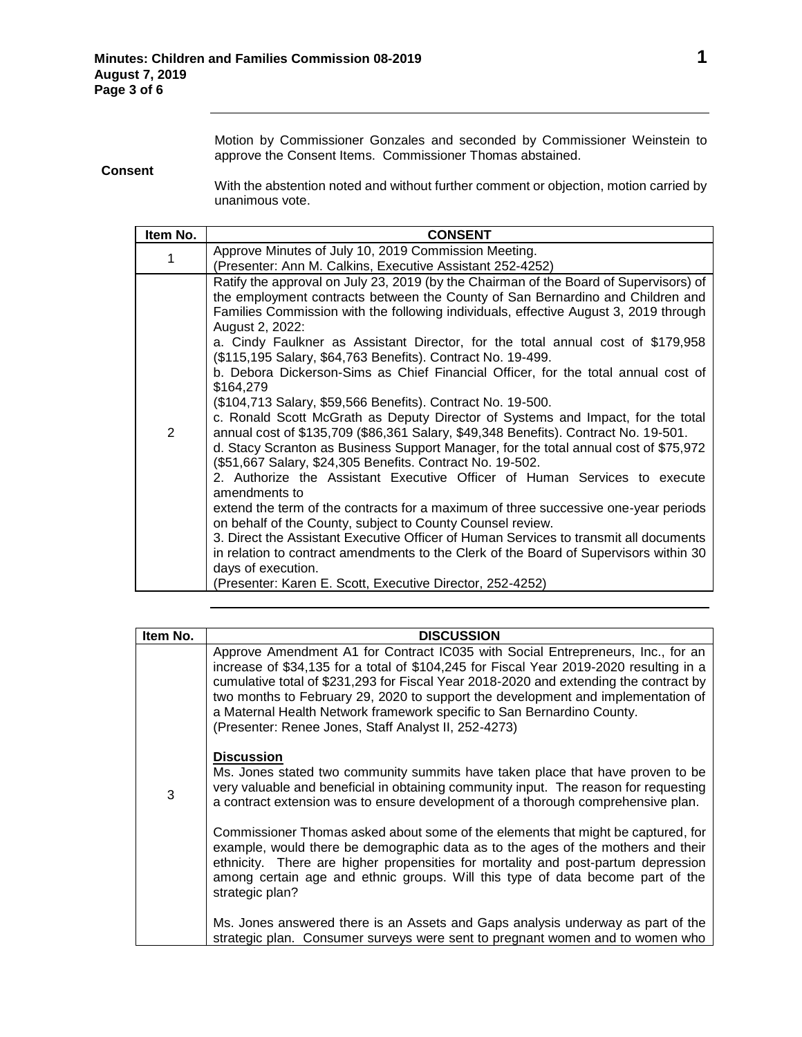Motion by Commissioner Gonzales and seconded by Commissioner Weinstein to approve the Consent Items. Commissioner Thomas abstained.

**Consent**

With the abstention noted and without further comment or objection, motion carried by unanimous vote.

| Item No. | <b>CONSENT</b>                                                                                                                                                                                                                                                                                                                                                                                                                                                                                                                                                                                                                                                                                                                                                                                                                                                                                                                                                                                                                                                                                                                                                                                                                                                                                                                                                                                                                                               |
|----------|--------------------------------------------------------------------------------------------------------------------------------------------------------------------------------------------------------------------------------------------------------------------------------------------------------------------------------------------------------------------------------------------------------------------------------------------------------------------------------------------------------------------------------------------------------------------------------------------------------------------------------------------------------------------------------------------------------------------------------------------------------------------------------------------------------------------------------------------------------------------------------------------------------------------------------------------------------------------------------------------------------------------------------------------------------------------------------------------------------------------------------------------------------------------------------------------------------------------------------------------------------------------------------------------------------------------------------------------------------------------------------------------------------------------------------------------------------------|
| 1        | Approve Minutes of July 10, 2019 Commission Meeting.                                                                                                                                                                                                                                                                                                                                                                                                                                                                                                                                                                                                                                                                                                                                                                                                                                                                                                                                                                                                                                                                                                                                                                                                                                                                                                                                                                                                         |
|          | (Presenter: Ann M. Calkins, Executive Assistant 252-4252)                                                                                                                                                                                                                                                                                                                                                                                                                                                                                                                                                                                                                                                                                                                                                                                                                                                                                                                                                                                                                                                                                                                                                                                                                                                                                                                                                                                                    |
| 2        | Ratify the approval on July 23, 2019 (by the Chairman of the Board of Supervisors) of<br>the employment contracts between the County of San Bernardino and Children and<br>Families Commission with the following individuals, effective August 3, 2019 through<br>August 2, 2022:<br>a. Cindy Faulkner as Assistant Director, for the total annual cost of \$179,958<br>(\$115,195 Salary, \$64,763 Benefits). Contract No. 19-499.<br>b. Debora Dickerson-Sims as Chief Financial Officer, for the total annual cost of<br>\$164,279<br>(\$104,713 Salary, \$59,566 Benefits). Contract No. 19-500.<br>c. Ronald Scott McGrath as Deputy Director of Systems and Impact, for the total<br>annual cost of \$135,709 (\$86,361 Salary, \$49,348 Benefits). Contract No. 19-501.<br>d. Stacy Scranton as Business Support Manager, for the total annual cost of \$75,972<br>(\$51,667 Salary, \$24,305 Benefits. Contract No. 19-502.<br>2. Authorize the Assistant Executive Officer of Human Services to execute<br>amendments to<br>extend the term of the contracts for a maximum of three successive one-year periods<br>on behalf of the County, subject to County Counsel review.<br>3. Direct the Assistant Executive Officer of Human Services to transmit all documents<br>in relation to contract amendments to the Clerk of the Board of Supervisors within 30<br>days of execution.<br>(Presenter: Karen E. Scott, Executive Director, 252-4252) |

| Item No. | <b>DISCUSSION</b>                                                                                                                                                                                                                                                                                                                                                                                                                                                                        |
|----------|------------------------------------------------------------------------------------------------------------------------------------------------------------------------------------------------------------------------------------------------------------------------------------------------------------------------------------------------------------------------------------------------------------------------------------------------------------------------------------------|
|          | Approve Amendment A1 for Contract IC035 with Social Entrepreneurs, Inc., for an<br>increase of \$34,135 for a total of \$104,245 for Fiscal Year 2019-2020 resulting in a<br>cumulative total of \$231,293 for Fiscal Year 2018-2020 and extending the contract by<br>two months to February 29, 2020 to support the development and implementation of<br>a Maternal Health Network framework specific to San Bernardino County.<br>(Presenter: Renee Jones, Staff Analyst II, 252-4273) |
| 3        | <b>Discussion</b><br>Ms. Jones stated two community summits have taken place that have proven to be<br>very valuable and beneficial in obtaining community input. The reason for requesting<br>a contract extension was to ensure development of a thorough comprehensive plan.                                                                                                                                                                                                          |
|          | Commissioner Thomas asked about some of the elements that might be captured, for<br>example, would there be demographic data as to the ages of the mothers and their<br>ethnicity. There are higher propensities for mortality and post-partum depression<br>among certain age and ethnic groups. Will this type of data become part of the<br>strategic plan?                                                                                                                           |
|          | Ms. Jones answered there is an Assets and Gaps analysis underway as part of the<br>strategic plan. Consumer surveys were sent to pregnant women and to women who                                                                                                                                                                                                                                                                                                                         |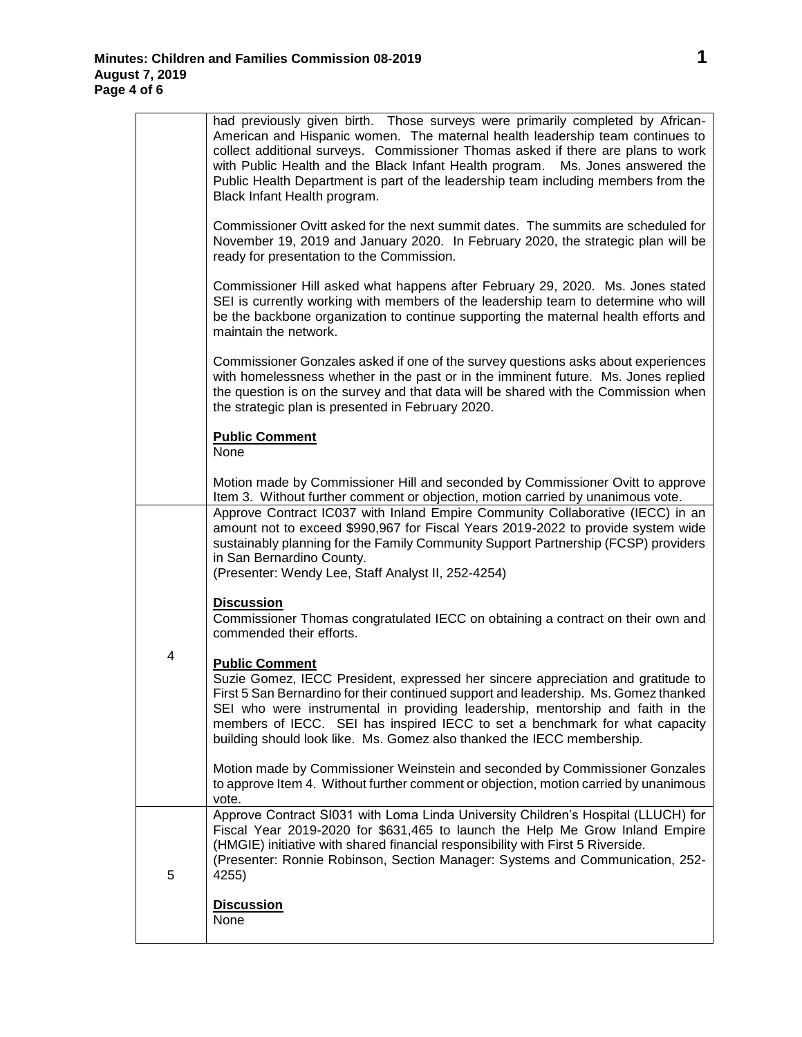|   | had previously given birth. Those surveys were primarily completed by African-<br>American and Hispanic women. The maternal health leadership team continues to<br>collect additional surveys. Commissioner Thomas asked if there are plans to work<br>with Public Health and the Black Infant Health program. Ms. Jones answered the<br>Public Health Department is part of the leadership team including members from the<br>Black Infant Health program. |
|---|-------------------------------------------------------------------------------------------------------------------------------------------------------------------------------------------------------------------------------------------------------------------------------------------------------------------------------------------------------------------------------------------------------------------------------------------------------------|
|   | Commissioner Ovitt asked for the next summit dates. The summits are scheduled for<br>November 19, 2019 and January 2020. In February 2020, the strategic plan will be<br>ready for presentation to the Commission.                                                                                                                                                                                                                                          |
|   | Commissioner Hill asked what happens after February 29, 2020. Ms. Jones stated<br>SEI is currently working with members of the leadership team to determine who will<br>be the backbone organization to continue supporting the maternal health efforts and<br>maintain the network.                                                                                                                                                                        |
|   | Commissioner Gonzales asked if one of the survey questions asks about experiences<br>with homelessness whether in the past or in the imminent future. Ms. Jones replied<br>the question is on the survey and that data will be shared with the Commission when<br>the strategic plan is presented in February 2020.                                                                                                                                         |
|   | <b>Public Comment</b><br>None                                                                                                                                                                                                                                                                                                                                                                                                                               |
|   | Motion made by Commissioner Hill and seconded by Commissioner Ovitt to approve<br>Item 3. Without further comment or objection, motion carried by unanimous vote.                                                                                                                                                                                                                                                                                           |
|   | Approve Contract IC037 with Inland Empire Community Collaborative (IECC) in an<br>amount not to exceed \$990,967 for Fiscal Years 2019-2022 to provide system wide<br>sustainably planning for the Family Community Support Partnership (FCSP) providers<br>in San Bernardino County.<br>(Presenter: Wendy Lee, Staff Analyst II, 252-4254)                                                                                                                 |
|   | <b>Discussion</b><br>Commissioner Thomas congratulated IECC on obtaining a contract on their own and<br>commended their efforts.                                                                                                                                                                                                                                                                                                                            |
| 4 | <b>Public Comment</b><br>Suzie Gomez, IECC President, expressed her sincere appreciation and gratitude to<br>First 5 San Bernardino for their continued support and leadership. Ms. Gomez thanked<br>SEI who were instrumental in providing leadership, mentorship and faith in the<br>members of IECC. SEI has inspired IECC to set a benchmark for what capacity<br>building should look like. Ms. Gomez also thanked the IECC membership.                |
|   | Motion made by Commissioner Weinstein and seconded by Commissioner Gonzales<br>to approve Item 4. Without further comment or objection, motion carried by unanimous<br>vote.                                                                                                                                                                                                                                                                                |
| 5 | Approve Contract SI031 with Loma Linda University Children's Hospital (LLUCH) for<br>Fiscal Year 2019-2020 for \$631,465 to launch the Help Me Grow Inland Empire<br>(HMGIE) initiative with shared financial responsibility with First 5 Riverside.<br>(Presenter: Ronnie Robinson, Section Manager: Systems and Communication, 252-<br>4255)                                                                                                              |
|   | <b>Discussion</b><br>None                                                                                                                                                                                                                                                                                                                                                                                                                                   |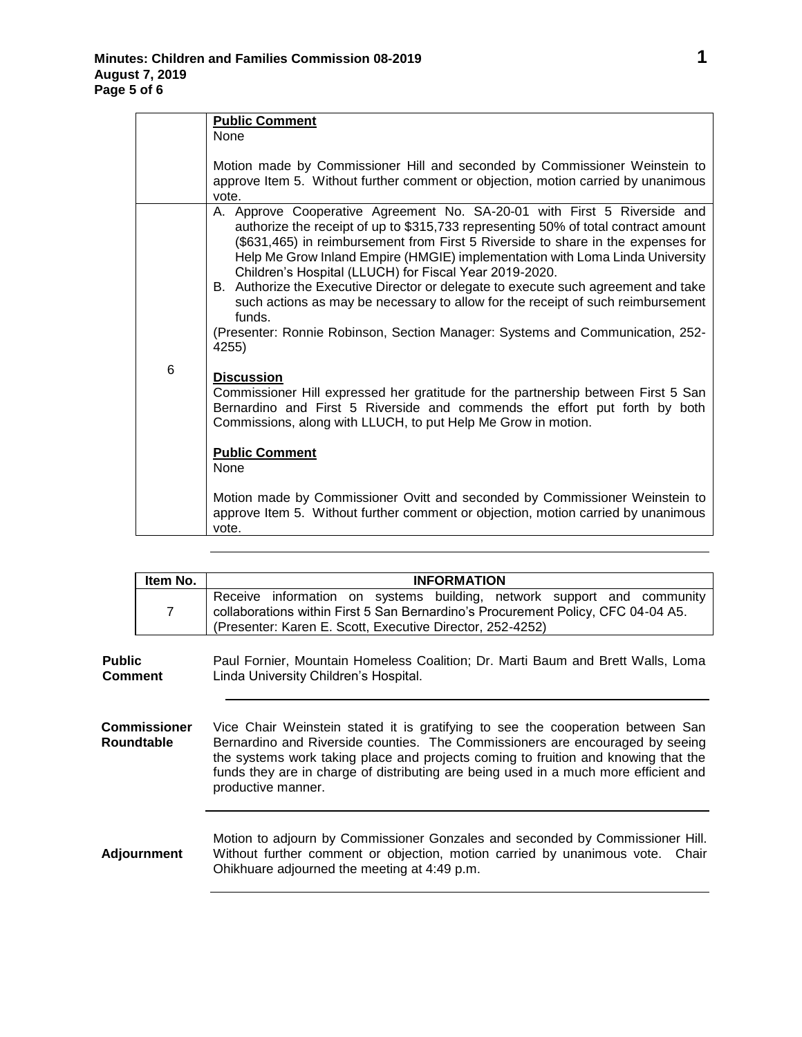|   | <b>Public Comment</b>                                                                                                                                                                                                                                                                                                                                                                                                                                                                                                                                                                                                                                                     |  |  |
|---|---------------------------------------------------------------------------------------------------------------------------------------------------------------------------------------------------------------------------------------------------------------------------------------------------------------------------------------------------------------------------------------------------------------------------------------------------------------------------------------------------------------------------------------------------------------------------------------------------------------------------------------------------------------------------|--|--|
|   | None                                                                                                                                                                                                                                                                                                                                                                                                                                                                                                                                                                                                                                                                      |  |  |
|   | Motion made by Commissioner Hill and seconded by Commissioner Weinstein to<br>approve Item 5. Without further comment or objection, motion carried by unanimous<br>vote.                                                                                                                                                                                                                                                                                                                                                                                                                                                                                                  |  |  |
|   | A. Approve Cooperative Agreement No. SA-20-01 with First 5 Riverside and<br>authorize the receipt of up to \$315,733 representing 50% of total contract amount<br>(\$631,465) in reimbursement from First 5 Riverside to share in the expenses for<br>Help Me Grow Inland Empire (HMGIE) implementation with Loma Linda University<br>Children's Hospital (LLUCH) for Fiscal Year 2019-2020.<br>B. Authorize the Executive Director or delegate to execute such agreement and take<br>such actions as may be necessary to allow for the receipt of such reimbursement<br>funds.<br>(Presenter: Ronnie Robinson, Section Manager: Systems and Communication, 252-<br>4255) |  |  |
| 6 | <b>Discussion</b><br>Commissioner Hill expressed her gratitude for the partnership between First 5 San<br>Bernardino and First 5 Riverside and commends the effort put forth by both<br>Commissions, along with LLUCH, to put Help Me Grow in motion.                                                                                                                                                                                                                                                                                                                                                                                                                     |  |  |
|   | <b>Public Comment</b><br>None                                                                                                                                                                                                                                                                                                                                                                                                                                                                                                                                                                                                                                             |  |  |
|   | Motion made by Commissioner Ovitt and seconded by Commissioner Weinstein to<br>approve Item 5. Without further comment or objection, motion carried by unanimous<br>vote.                                                                                                                                                                                                                                                                                                                                                                                                                                                                                                 |  |  |

|                                   | Item No.           | <b>INFORMATION</b>                                                                                                                                                                                                                                                                                                                                                   |  |
|-----------------------------------|--------------------|----------------------------------------------------------------------------------------------------------------------------------------------------------------------------------------------------------------------------------------------------------------------------------------------------------------------------------------------------------------------|--|
|                                   | 7                  | Receive information on systems building, network support and community<br>collaborations within First 5 San Bernardino's Procurement Policy, CFC 04-04 A5.<br>(Presenter: Karen E. Scott, Executive Director, 252-4252)                                                                                                                                              |  |
| <b>Public</b><br><b>Comment</b>   |                    | Paul Fornier, Mountain Homeless Coalition; Dr. Marti Baum and Brett Walls, Loma<br>Linda University Children's Hospital.                                                                                                                                                                                                                                             |  |
| <b>Commissioner</b><br>Roundtable |                    | Vice Chair Weinstein stated it is gratifying to see the cooperation between San<br>Bernardino and Riverside counties. The Commissioners are encouraged by seeing<br>the systems work taking place and projects coming to fruition and knowing that the<br>funds they are in charge of distributing are being used in a much more efficient and<br>productive manner. |  |
|                                   | <b>Adjournment</b> | Motion to adjourn by Commissioner Gonzales and seconded by Commissioner Hill.<br>Without further comment or objection, motion carried by unanimous vote. Chair<br>Ohikhuare adjourned the meeting at 4:49 p.m.                                                                                                                                                       |  |